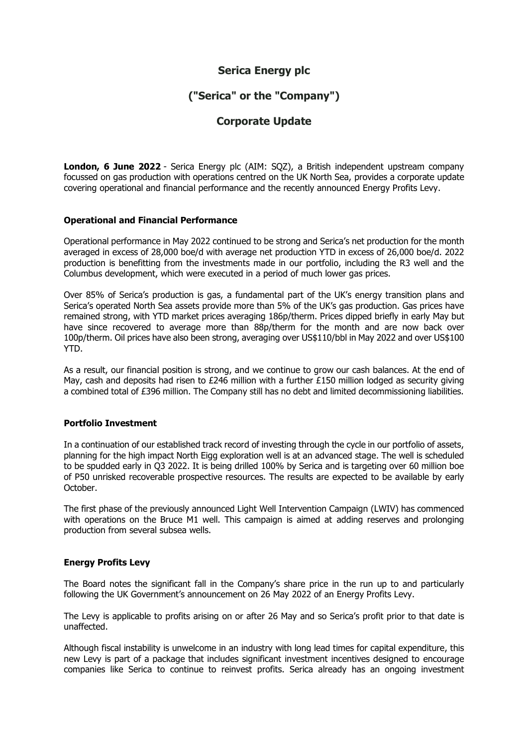# **Serica Energy plc**

# **("Serica" or the "Company")**

# **Corporate Update**

**London, 6 June 2022** - Serica Energy plc (AIM: SQZ), a British independent upstream company focussed on gas production with operations centred on the UK North Sea, provides a corporate update covering operational and financial performance and the recently announced Energy Profits Levy.

## **Operational and Financial Performance**

Operational performance in May 2022 continued to be strong and Serica's net production for the month averaged in excess of 28,000 boe/d with average net production YTD in excess of 26,000 boe/d. 2022 production is benefitting from the investments made in our portfolio, including the R3 well and the Columbus development, which were executed in a period of much lower gas prices.

Over 85% of Serica's production is gas, a fundamental part of the UK's energy transition plans and Serica's operated North Sea assets provide more than 5% of the UK's gas production. Gas prices have remained strong, with YTD market prices averaging 186p/therm. Prices dipped briefly in early May but have since recovered to average more than 88p/therm for the month and are now back over 100p/therm. Oil prices have also been strong, averaging over US\$110/bbl in May 2022 and over US\$100 YTD.

As a result, our financial position is strong, and we continue to grow our cash balances. At the end of May, cash and deposits had risen to £246 million with a further £150 million lodged as security giving a combined total of £396 million. The Company still has no debt and limited decommissioning liabilities.

## **Portfolio Investment**

In a continuation of our established track record of investing through the cycle in our portfolio of assets, planning for the high impact North Eigg exploration well is at an advanced stage. The well is scheduled to be spudded early in Q3 2022. It is being drilled 100% by Serica and is targeting over 60 million boe of P50 unrisked recoverable prospective resources. The results are expected to be available by early October.

The first phase of the previously announced Light Well Intervention Campaign (LWIV) has commenced with operations on the Bruce M1 well. This campaign is aimed at adding reserves and prolonging production from several subsea wells.

## **Energy Profits Levy**

The Board notes the significant fall in the Company's share price in the run up to and particularly following the UK Government's announcement on 26 May 2022 of an Energy Profits Levy.

The Levy is applicable to profits arising on or after 26 May and so Serica's profit prior to that date is unaffected.

Although fiscal instability is unwelcome in an industry with long lead times for capital expenditure, this new Levy is part of a package that includes significant investment incentives designed to encourage companies like Serica to continue to reinvest profits. Serica already has an ongoing investment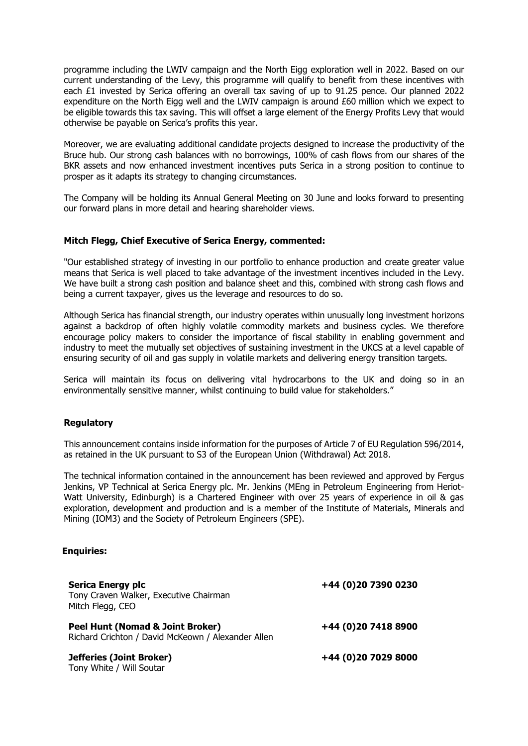programme including the LWIV campaign and the North Eigg exploration well in 2022. Based on our current understanding of the Levy, this programme will qualify to benefit from these incentives with each £1 invested by Serica offering an overall tax saving of up to 91.25 pence. Our planned 2022 expenditure on the North Eigg well and the LWIV campaign is around £60 million which we expect to be eligible towards this tax saving. This will offset a large element of the Energy Profits Levy that would otherwise be payable on Serica's profits this year.

Moreover, we are evaluating additional candidate projects designed to increase the productivity of the Bruce hub. Our strong cash balances with no borrowings, 100% of cash flows from our shares of the BKR assets and now enhanced investment incentives puts Serica in a strong position to continue to prosper as it adapts its strategy to changing circumstances.

The Company will be holding its Annual General Meeting on 30 June and looks forward to presenting our forward plans in more detail and hearing shareholder views.

### **Mitch Flegg, Chief Executive of Serica Energy, commented:**

"Our established strategy of investing in our portfolio to enhance production and create greater value means that Serica is well placed to take advantage of the investment incentives included in the Levy. We have built a strong cash position and balance sheet and this, combined with strong cash flows and being a current taxpayer, gives us the leverage and resources to do so.

Although Serica has financial strength, our industry operates within unusually long investment horizons against a backdrop of often highly volatile commodity markets and business cycles. We therefore encourage policy makers to consider the importance of fiscal stability in enabling government and industry to meet the mutually set objectives of sustaining investment in the UKCS at a level capable of ensuring security of oil and gas supply in volatile markets and delivering energy transition targets.

Serica will maintain its focus on delivering vital hydrocarbons to the UK and doing so in an environmentally sensitive manner, whilst continuing to build value for stakeholders."

#### **Regulatory**

This announcement contains inside information for the purposes of Article 7 of EU Regulation 596/2014, as retained in the UK pursuant to S3 of the European Union (Withdrawal) Act 2018.

The technical information contained in the announcement has been reviewed and approved by Fergus Jenkins, VP Technical at Serica Energy plc. Mr. Jenkins (MEng in Petroleum Engineering from Heriot-Watt University, Edinburgh) is a Chartered Engineer with over 25 years of experience in oil & gas exploration, development and production and is a member of the Institute of Materials, Minerals and Mining (IOM3) and the Society of Petroleum Engineers (SPE).

#### **Enquiries:**

| <b>Serica Energy plc</b><br>Tony Craven Walker, Executive Chairman<br>Mitch Flegg, CEO | +44 (0)20 7390 0230 |
|----------------------------------------------------------------------------------------|---------------------|
| Peel Hunt (Nomad & Joint Broker)<br>Richard Crichton / David McKeown / Alexander Allen | +44 (0)20 7418 8900 |
| Jefferies (Joint Broker)<br>Tony White / Will Soutar                                   | +44 (0)20 7029 8000 |